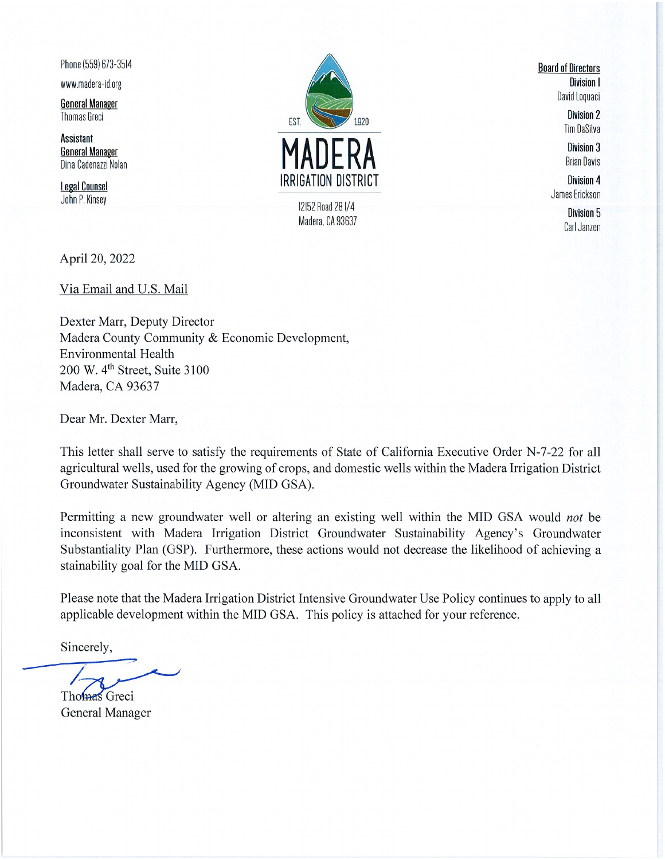Phone (559) 673-3514

www.madera-id.org

**General Manager Thomas Greci** 

**Assistant General Manager** Dina Cadenazzi Nolan

**Legal Counsel** John P. Kinsey



**Board of Directors** Division I David Loquaci

> **Division 2 Tim DaSilva**

> **Division 3 Brian Davis**

Division 4 James Erickson

> Division 5 Carl Janzen

April 20, 2022

Via Email and U.S. Mail

Dexter Marr, Deputy Director Madera County Community & Economic Development, **Environmental Health** 200 W. 4<sup>th</sup> Street, Suite 3100 Madera, CA 93637

Dear Mr. Dexter Marr,

This letter shall serve to satisfy the requirements of State of California Executive Order N-7-22 for all agricultural wells, used for the growing of crops, and domestic wells within the Madera Irrigation District Groundwater Sustainability Agency (MID GSA).

Permitting a new groundwater well or altering an existing well within the MID GSA would not be inconsistent with Madera Irrigation District Groundwater Sustainability Agency's Groundwater Substantiality Plan (GSP). Furthermore, these actions would not decrease the likelihood of achieving a stainability goal for the MID GSA.

Please note that the Madera Irrigation District Intensive Groundwater Use Policy continues to apply to all applicable development within the MID GSA. This policy is attached for your reference.

Sincerely,

Thomas Greci **General Manager**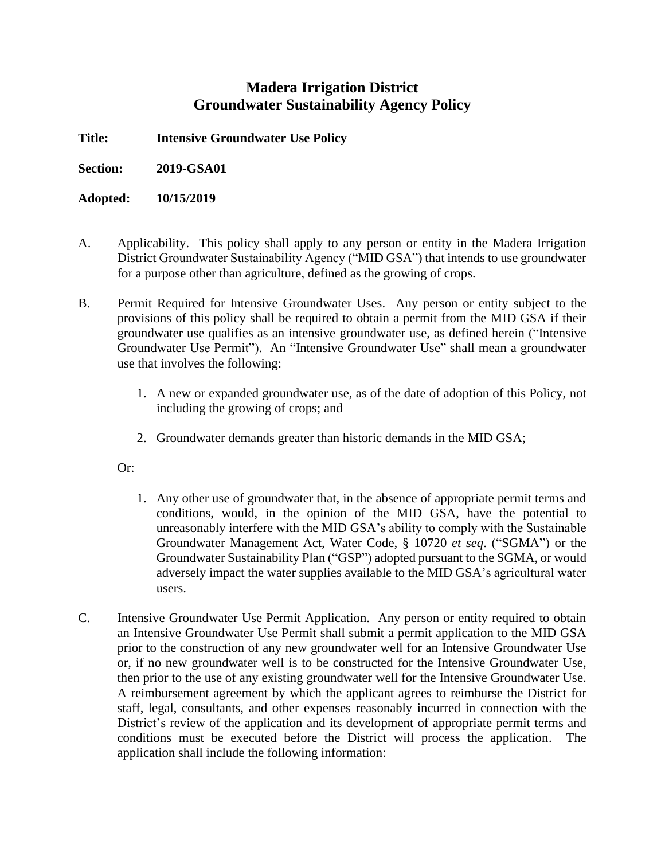## **Madera Irrigation District Groundwater Sustainability Agency Policy**

**Title: Intensive Groundwater Use Policy**

**Section: 2019-GSA01**

**Adopted: 10/15/2019**

- A. Applicability. This policy shall apply to any person or entity in the Madera Irrigation District Groundwater Sustainability Agency ("MID GSA") that intends to use groundwater for a purpose other than agriculture, defined as the growing of crops.
- B. Permit Required for Intensive Groundwater Uses. Any person or entity subject to the provisions of this policy shall be required to obtain a permit from the MID GSA if their groundwater use qualifies as an intensive groundwater use, as defined herein ("Intensive Groundwater Use Permit"). An "Intensive Groundwater Use" shall mean a groundwater use that involves the following:
	- 1. A new or expanded groundwater use, as of the date of adoption of this Policy, not including the growing of crops; and
	- 2. Groundwater demands greater than historic demands in the MID GSA;

Or:

- 1. Any other use of groundwater that, in the absence of appropriate permit terms and conditions, would, in the opinion of the MID GSA, have the potential to unreasonably interfere with the MID GSA's ability to comply with the Sustainable Groundwater Management Act, Water Code, § 10720 *et seq*. ("SGMA") or the Groundwater Sustainability Plan ("GSP") adopted pursuant to the SGMA, or would adversely impact the water supplies available to the MID GSA's agricultural water users.
- C. Intensive Groundwater Use Permit Application. Any person or entity required to obtain an Intensive Groundwater Use Permit shall submit a permit application to the MID GSA prior to the construction of any new groundwater well for an Intensive Groundwater Use or, if no new groundwater well is to be constructed for the Intensive Groundwater Use, then prior to the use of any existing groundwater well for the Intensive Groundwater Use. A reimbursement agreement by which the applicant agrees to reimburse the District for staff, legal, consultants, and other expenses reasonably incurred in connection with the District's review of the application and its development of appropriate permit terms and conditions must be executed before the District will process the application. The application shall include the following information: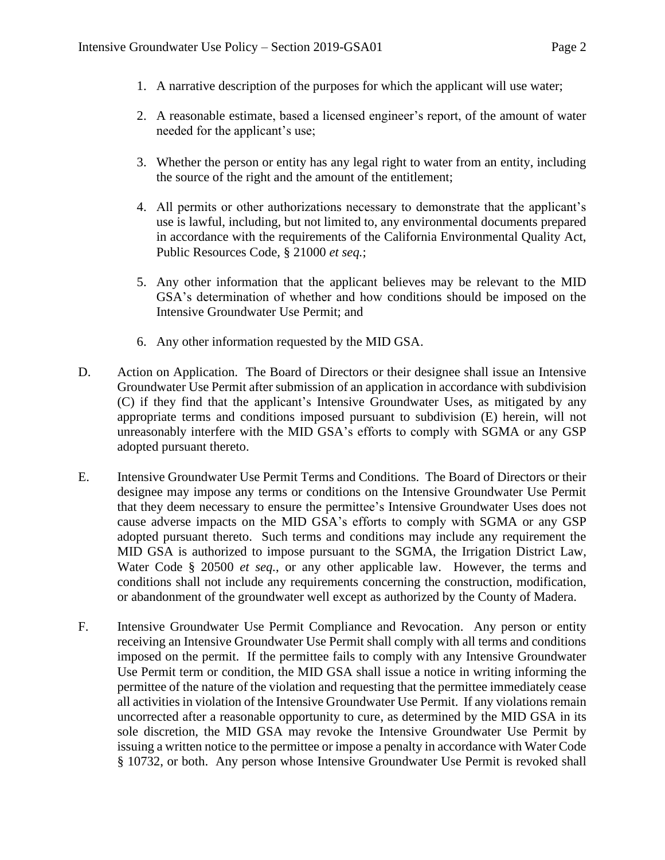- 1. A narrative description of the purposes for which the applicant will use water;
- 2. A reasonable estimate, based a licensed engineer's report, of the amount of water needed for the applicant's use;
- 3. Whether the person or entity has any legal right to water from an entity, including the source of the right and the amount of the entitlement;
- 4. All permits or other authorizations necessary to demonstrate that the applicant's use is lawful, including, but not limited to, any environmental documents prepared in accordance with the requirements of the California Environmental Quality Act, Public Resources Code, § 21000 *et seq.*;
- 5. Any other information that the applicant believes may be relevant to the MID GSA's determination of whether and how conditions should be imposed on the Intensive Groundwater Use Permit; and
- 6. Any other information requested by the MID GSA.
- D. Action on Application. The Board of Directors or their designee shall issue an Intensive Groundwater Use Permit after submission of an application in accordance with subdivision (C) if they find that the applicant's Intensive Groundwater Uses, as mitigated by any appropriate terms and conditions imposed pursuant to subdivision (E) herein, will not unreasonably interfere with the MID GSA's efforts to comply with SGMA or any GSP adopted pursuant thereto.
- E. Intensive Groundwater Use Permit Terms and Conditions. The Board of Directors or their designee may impose any terms or conditions on the Intensive Groundwater Use Permit that they deem necessary to ensure the permittee's Intensive Groundwater Uses does not cause adverse impacts on the MID GSA's efforts to comply with SGMA or any GSP adopted pursuant thereto. Such terms and conditions may include any requirement the MID GSA is authorized to impose pursuant to the SGMA, the Irrigation District Law, Water Code § 20500 *et seq.*, or any other applicable law. However, the terms and conditions shall not include any requirements concerning the construction, modification, or abandonment of the groundwater well except as authorized by the County of Madera.
- F. Intensive Groundwater Use Permit Compliance and Revocation. Any person or entity receiving an Intensive Groundwater Use Permit shall comply with all terms and conditions imposed on the permit. If the permittee fails to comply with any Intensive Groundwater Use Permit term or condition, the MID GSA shall issue a notice in writing informing the permittee of the nature of the violation and requesting that the permittee immediately cease all activities in violation of the Intensive Groundwater Use Permit. If any violations remain uncorrected after a reasonable opportunity to cure, as determined by the MID GSA in its sole discretion, the MID GSA may revoke the Intensive Groundwater Use Permit by issuing a written notice to the permittee or impose a penalty in accordance with Water Code § 10732, or both. Any person whose Intensive Groundwater Use Permit is revoked shall